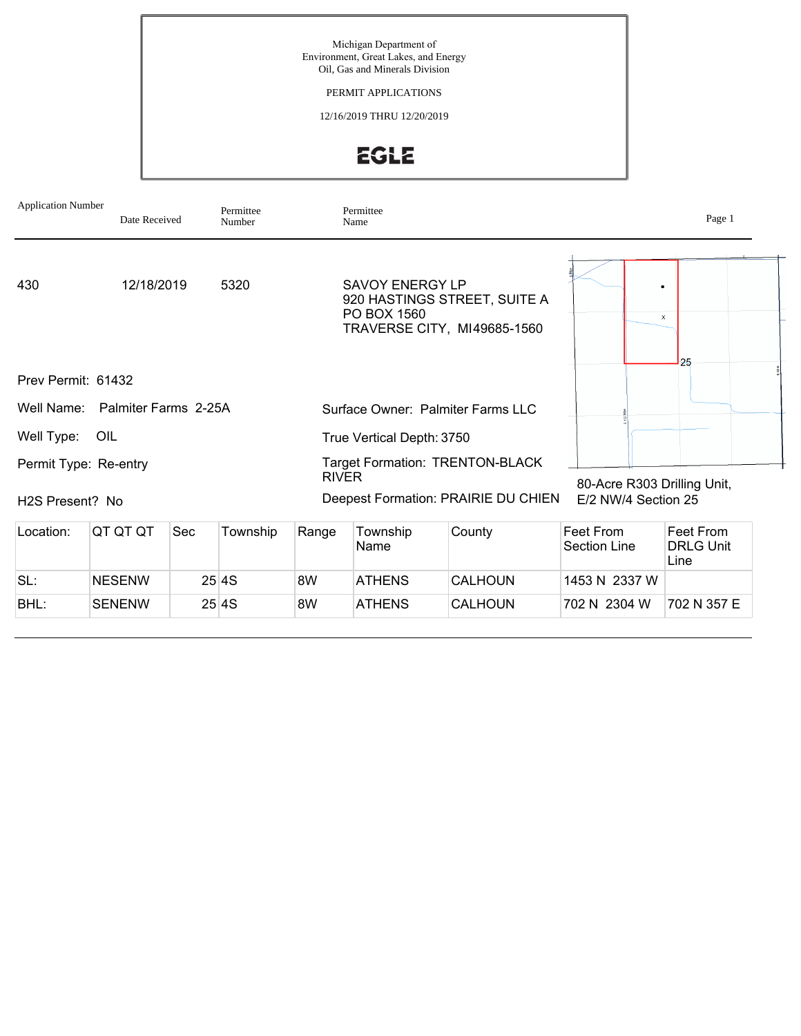Michigan Department of Environment, Great Lakes, and Energy Oil, Gas and Minerals Division

PERMIT APPLICATIONS

12/16/2019 THRU 12/20/2019

EGLE

| <b>Application Number</b><br>Date Received |                                 | Permittee<br>Number |       | Permittee<br>Name                                                                                    |                           | Page 1         |                                                    |                                       |  |  |  |
|--------------------------------------------|---------------------------------|---------------------|-------|------------------------------------------------------------------------------------------------------|---------------------------|----------------|----------------------------------------------------|---------------------------------------|--|--|--|
| 430                                        | 12/18/2019                      |                     | 5320  | <b>SAVOY ENERGY LP</b><br>920 HASTINGS STREET, SUITE A<br>PO BOX 1560<br>TRAVERSE CITY, MI49685-1560 |                           |                | x                                                  |                                       |  |  |  |
| 25<br>Prev Permit: 61432                   |                                 |                     |       |                                                                                                      |                           |                |                                                    |                                       |  |  |  |
|                                            | Well Name: Palmiter Farms 2-25A |                     |       | Surface Owner: Palmiter Farms LLC                                                                    |                           |                |                                                    |                                       |  |  |  |
| Well Type:                                 | OIL                             |                     |       |                                                                                                      | True Vertical Depth: 3750 |                |                                                    |                                       |  |  |  |
| Permit Type: Re-entry                      |                                 |                     |       | <b>Target Formation: TRENTON-BLACK</b><br><b>RIVER</b>                                               |                           |                |                                                    |                                       |  |  |  |
| H <sub>2</sub> S Present? No               |                                 |                     |       | Deepest Formation: PRAIRIE DU CHIEN                                                                  |                           |                | 80-Acre R303 Drilling Unit,<br>E/2 NW/4 Section 25 |                                       |  |  |  |
| Location:                                  | QT QT QT<br>Sec<br>Township     |                     |       |                                                                                                      | Township<br>Name          | County         | Feet From<br>Section Line                          | Feet From<br><b>DRLG Unit</b><br>Line |  |  |  |
| SL:                                        | <b>NESENW</b>                   |                     | 25 4S | 8W                                                                                                   | <b>ATHENS</b>             | <b>CALHOUN</b> | 1453 N 2337 W                                      |                                       |  |  |  |
| BHL:                                       | <b>SENENW</b>                   |                     | 25 4S | 8W                                                                                                   | <b>ATHENS</b>             | <b>CALHOUN</b> | 702 N 2304 W                                       | 702 N 357 E                           |  |  |  |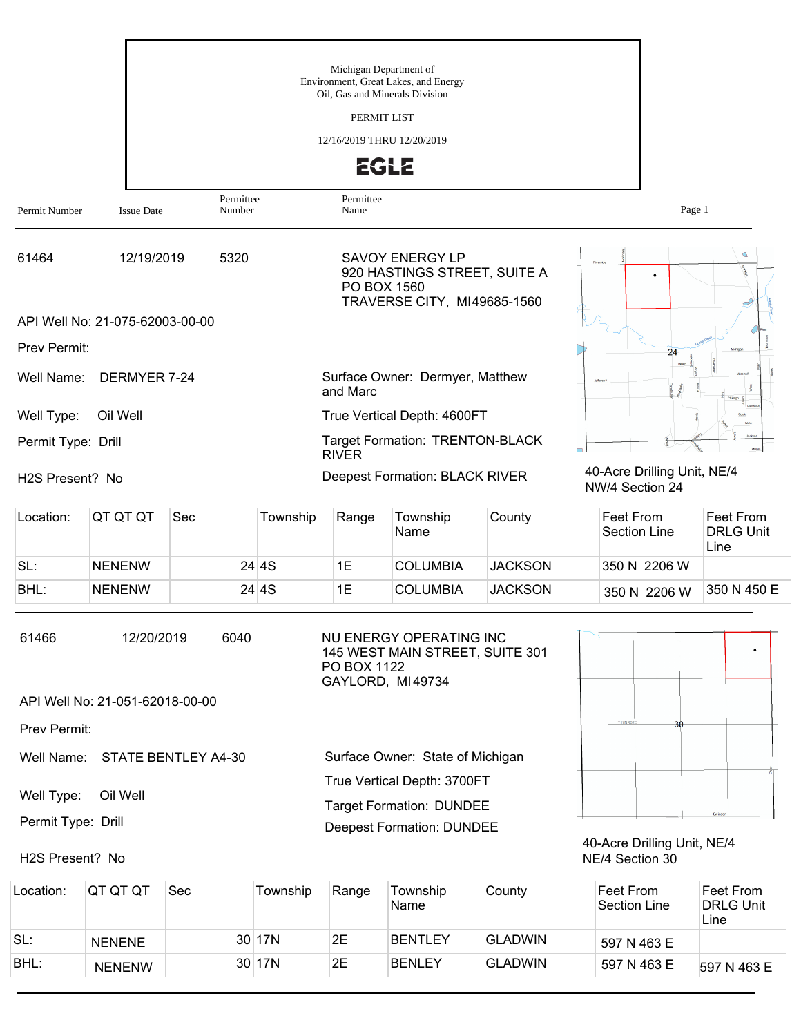|                              |                                 |                            |          | Michigan Department of          |                                                                                       |                  |                                                |                                       |
|------------------------------|---------------------------------|----------------------------|----------|---------------------------------|---------------------------------------------------------------------------------------|------------------|------------------------------------------------|---------------------------------------|
|                              |                                 |                            |          | Oil, Gas and Minerals Division  | Environment, Great Lakes, and Energy                                                  |                  |                                                |                                       |
|                              |                                 |                            |          | PERMIT LIST                     |                                                                                       |                  |                                                |                                       |
|                              |                                 |                            |          | 12/16/2019 THRU 12/20/2019      |                                                                                       |                  |                                                |                                       |
|                              |                                 |                            |          | <b>EGLE</b>                     |                                                                                       |                  |                                                |                                       |
| Permit Number                | <b>Issue Date</b>               | Permittee<br>Number        |          | Permittee<br>Name               |                                                                                       |                  | Page 1                                         |                                       |
| 61464                        | 12/19/2019                      | 5320                       |          | PO BOX 1560                     | <b>SAVOY ENERGY LP</b><br>920 HASTINGS STREET, SUITE A<br>TRAVERSE CITY, MI49685-1560 |                  |                                                | Ó                                     |
|                              | API Well No: 21-075-62003-00-00 |                            |          |                                 |                                                                                       |                  |                                                |                                       |
| Prev Permit:                 |                                 |                            |          |                                 |                                                                                       |                  | 24                                             |                                       |
| Well Name:                   | DERMYER 7-24                    |                            |          | and Marc                        | Surface Owner: Dermyer, Matthew                                                       |                  |                                                |                                       |
| Well Type:                   | Oil Well                        |                            |          |                                 | True Vertical Depth: 4600FT                                                           |                  |                                                |                                       |
| Permit Type: Drill           |                                 |                            |          | <b>RIVER</b>                    | <b>Target Formation: TRENTON-BLACK</b>                                                |                  | $\blacksquare$                                 |                                       |
| H <sub>2</sub> S Present? No |                                 |                            |          |                                 | Deepest Formation: BLACK RIVER                                                        |                  | 40-Acre Drilling Unit, NE/4<br>NW/4 Section 24 |                                       |
| Location:                    | QT QT QT                        | Sec                        | Township | Range                           | Township<br>Name                                                                      | County           | Feet From<br><b>Section Line</b>               | Feet From<br><b>DRLG Unit</b><br>Line |
| SL:                          | <b>NENENW</b>                   |                            | 24 4S    | 1E                              | <b>COLUMBIA</b>                                                                       | <b>JACKSON</b>   | 350 N 2206 W                                   |                                       |
| BHL:                         | <b>NENENW</b>                   |                            | 24 4S    | 1E                              | <b>COLUMBIA</b>                                                                       | <b>JACKSON</b>   | 350 N 2206 W                                   | 350 N 450 E                           |
| 61466                        | 12/20/2019                      | 6040                       |          | PO BOX 1122<br>GAYLORD, MI49734 | NU ENERGY OPERATING INC<br>145 WEST MAIN STREET, SUITE 301                            |                  |                                                |                                       |
|                              | API Well No: 21-051-62018-00-00 |                            |          |                                 |                                                                                       |                  |                                                |                                       |
| Prev Permit:                 |                                 |                            |          |                                 |                                                                                       |                  |                                                |                                       |
| Well Name:                   |                                 | <b>STATE BENTLEY A4-30</b> |          |                                 | Surface Owner: State of Michigan                                                      |                  |                                                |                                       |
| Well Type:                   | Oil Well                        |                            |          |                                 | True Vertical Depth: 3700FT                                                           |                  |                                                |                                       |
| Permit Type: Drill           |                                 |                            |          |                                 | <b>Target Formation: DUNDEE</b>                                                       |                  |                                                |                                       |
| H2S Present? No              |                                 |                            |          |                                 | <b>Deepest Formation: DUNDEE</b>                                                      |                  | 40-Acre Drilling Unit, NE/4<br>NE/4 Section 30 |                                       |
| contion:                     | $\cap$ $\Gamma$ $\cap$ $\Gamma$ | $S_{\Omega}$               | Township | <b>Dongo</b>                    | Township                                                                              | $C_{\text{OUP}}$ | Cont From                                      | Cont From                             |

| Location: | QT QT QT      | Sec | Township | Range | Township<br>Name | County         | Feet From<br>Section Line | Feet From<br><b>DRLG Unit</b><br>Line |
|-----------|---------------|-----|----------|-------|------------------|----------------|---------------------------|---------------------------------------|
| SL:       | <b>NENENE</b> |     | 30 17N   | 2E    | <b>BENTLEY</b>   | <b>GLADWIN</b> | 597 N 463 E               |                                       |
| BHL:      | <b>NENENW</b> |     | 30 17N   | 2E    | <b>BENLEY</b>    | <b>GLADWIN</b> | 597 N 463 E               | 597 N 463 E                           |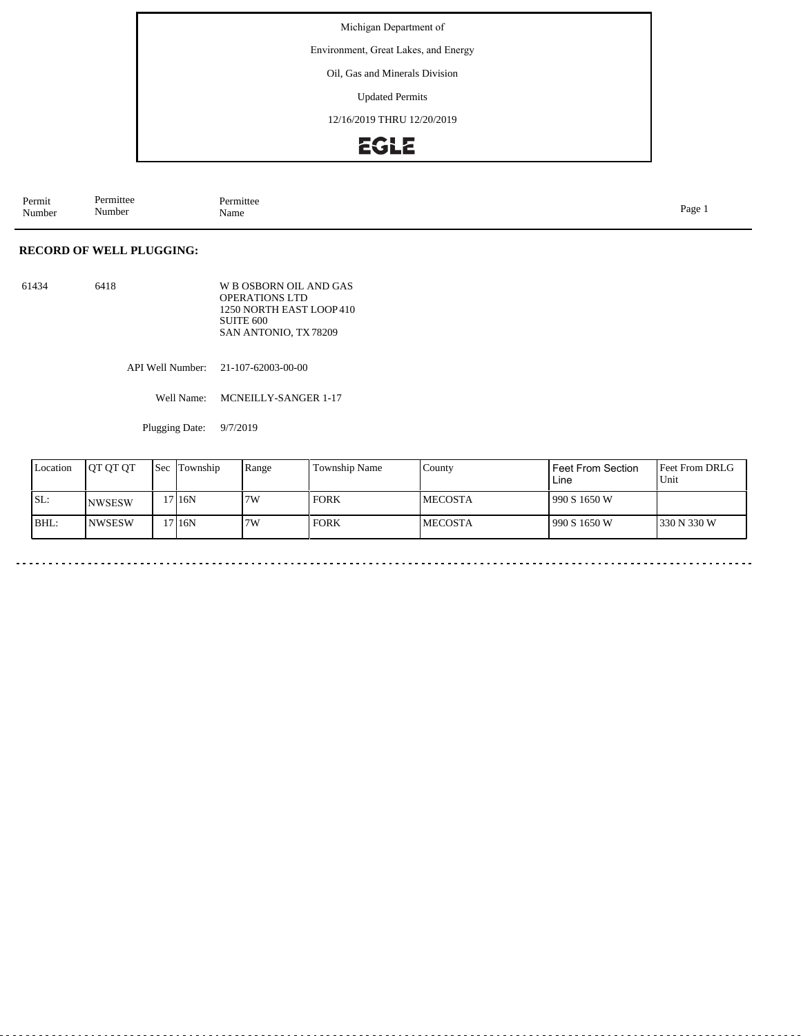Environment, Great Lakes, and Energy

Oil, Gas and Minerals Division

Updated Permits

12/16/2019 THRU 12/20/2019

## **EGLE**

| Permit<br>Number | Permittee<br>. .<br>Aumber | Permittee<br>.<br>Name | -<br>Page<br>$\circ$ |
|------------------|----------------------------|------------------------|----------------------|
|------------------|----------------------------|------------------------|----------------------|

### **RECORD OF WELL PLUGGING:**

| 61434 | 6418 | W B OSBORN OIL AND GAS  |
|-------|------|-------------------------|
|       |      | <b>OPERATIONS LTD</b>   |
|       |      | 1250 NORTH EAST LOOP410 |
|       |      | SUITE 600               |
|       |      | SAN ANTONIO, TX78209    |

API Well Number: 21-107-62003-00-00

Well Name: MCNEILLY-SANGER 1-17

Plugging Date: 9/7/2019

| Location | <b>IOT OT OT</b> | <b>Sec</b> | Township | Range | Township Name | County          | Feet From Section<br>Line | <b>Feet From DRLG</b><br>Unit |
|----------|------------------|------------|----------|-------|---------------|-----------------|---------------------------|-------------------------------|
| SL:      | <b>NWSESW</b>    |            | 716N     | 7W    | <b>FORK</b>   | <b>IMECOSTA</b> | 1990 S 1650 W             |                               |
| BHL:     | INWSESW          |            | 716N     | 7W    | <b>FORK</b>   | <b>IMECOSTA</b> | 1990 S 1650 W             | 1330 N 330 W                  |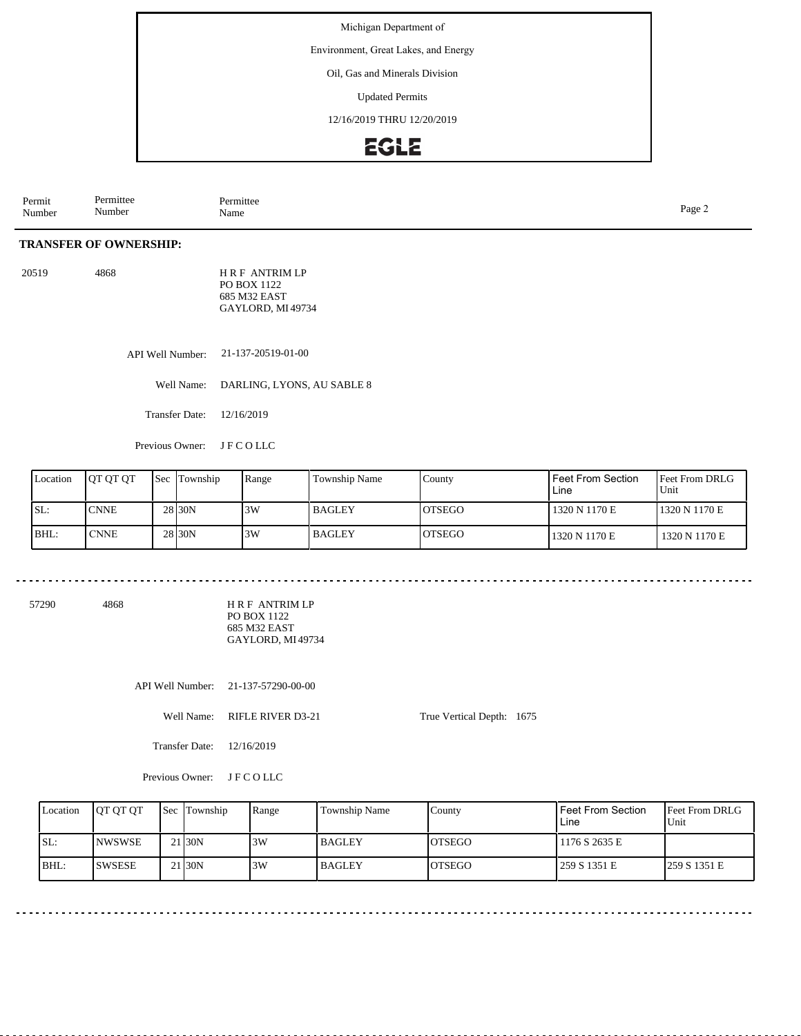Environment, Great Lakes, and Energy

Oil, Gas and Minerals Division

Updated Permits

12/16/2019 THRU 12/20/2019

### **EGLE**

Permit Number Permittee Number Permittee<br>Name Page 2<br>Name

### **TRANSFER OF OWNERSHIP:**

20519 4868 H R F ANTRIM LP PO BOX 1122 685 M32 EAST GAYLORD, MI 49734

> API Well Number: 21-137-20519-01-00

> > Well Name: DARLING, LYONS, AU SABLE 8

Transfer Date: 12/16/2019

Previous Owner: J F C O LLC

| Location | <b>OT OT OT</b> | <b>Sec</b> Township | Range | <b>Township Name</b> | Countv         | Feet From Section<br>Line | <b>Feet From DRLG</b><br>Unit |
|----------|-----------------|---------------------|-------|----------------------|----------------|---------------------------|-------------------------------|
| ISL:     | <b>CNNE</b>     | 28 30N              | 3W    | <b>BAGLEY</b>        | <b>IOTSEGO</b> | 1320 N 1170 E             | 1320 N 1170 E                 |
| BHL:     | <b>CNNE</b>     | 28 <sub>30</sub> N  | 3W    | l BAGLEY             | <b>IOTSEGO</b> | 1320 N 1170 E             | 1320 N 1170 E                 |

57290 4868

H R F ANTRIM LP PO BOX 1122 685 M32 EAST GAYLORD, MI 49734

API Well Number: 21-137-57290-00-00

Well Name: RIFLE RIVER D3-21

True Vertical Depth: 1675

Transfer Date: 12/16/2019

Previous Owner: J F C O LLC

| Location | <b>OT OT OT</b> |    | <b>Sec</b> Township | Range | <b>Township Name</b> | County        | l Feet From Section<br>Line | <b>Feet From DRLG</b><br>Unit |
|----------|-----------------|----|---------------------|-------|----------------------|---------------|-----------------------------|-------------------------------|
| ISL:     | <b>NWSWSE</b>   |    | 21 <sub>30</sub> N  | 3W    | <b>BAGLEY</b>        | <b>OTSEGO</b> | 1176 S 2635 E               |                               |
| BHL:     | <b>ISWSESE</b>  | 21 | 1 I30N              | 3W    | <b>BAGLEY</b>        | <b>OTSEGO</b> | 259 S 1351 E                | 259 S 1351 E                  |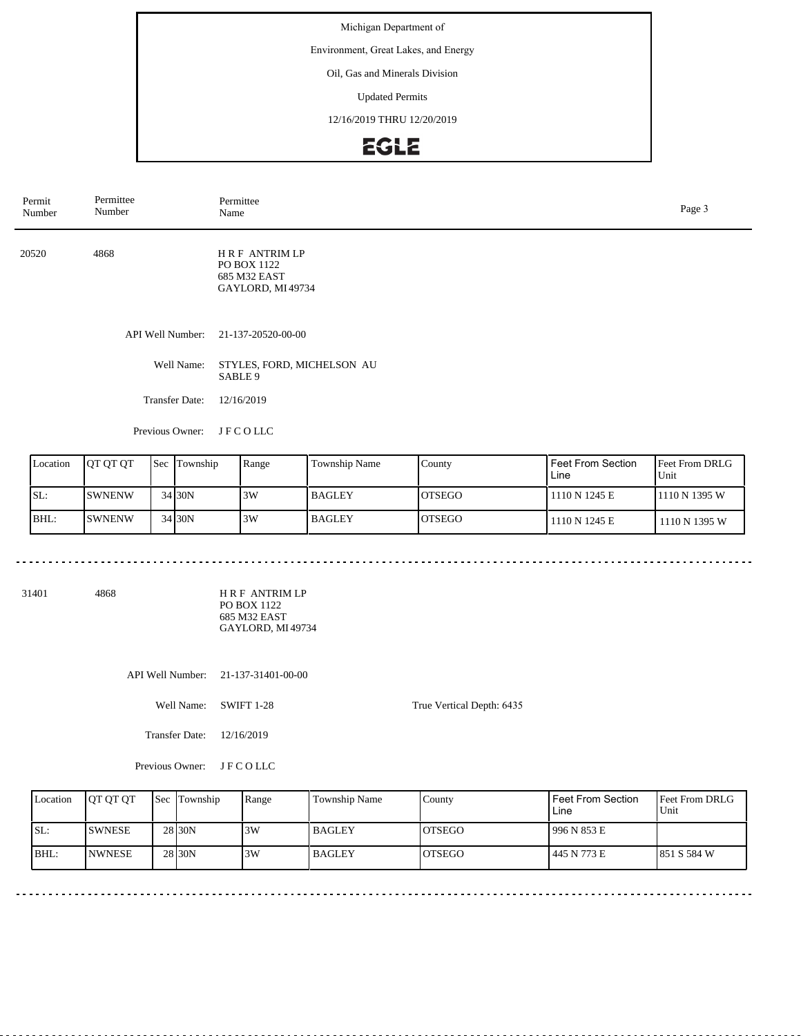Environment, Great Lakes, and Energy

### Oil, Gas and Minerals Division

Updated Permits

12/16/2019 THRU 12/20/2019

# EGLE

| Permit<br>Number | Permittee<br>Number   | Permittee<br>Name                                                       | Page 3 |
|------------------|-----------------------|-------------------------------------------------------------------------|--------|
| 20520            | 4868                  | <b>HRF ANTRIMLP</b><br>PO BOX 1122<br>685 M32 EAST<br>GAYLORD, MI 49734 |        |
|                  | API Well Number:      | 21-137-20520-00-00                                                      |        |
|                  | Well Name:            | STYLES, FORD, MICHELSON AU<br>SABLE 9                                   |        |
|                  | <b>Transfer Date:</b> | 12/16/2019                                                              |        |
|                  | Previous Owner:       | <b>JFCOLLC</b>                                                          |        |

| Location | <b>OT OT OT</b> | <b>Sec Township</b> | Range | <b>Township Name</b> | County        | Feet From Section<br>Line | <b>Feet From DRLG</b><br>Unit |
|----------|-----------------|---------------------|-------|----------------------|---------------|---------------------------|-------------------------------|
| SL:      | <b>SWNENW</b>   | 34 30N              | 3W    | <b>BAGLEY</b>        | <b>OTSEGO</b> | 1110 N 1245 E             | 1110 N 1395 W                 |
| BHL:     | <b>ISWNENW</b>  | 34 30 N             | 3W    | <b>BAGLEY</b>        | <b>OTSEGO</b> | 1110 N 1245 E             | 1110 N 1395 W                 |

31401 4868

H R F ANTRIM LP PO BOX 1122 685 M32 EAST GAYLORD, MI 49734

API Well Number: 21-137-31401-00-00

Well Name: SWIFT 1-28

Transfer Date: 12/16/2019

Previous Owner: J F C O LLC

| Location | IOT OT OT     | Sec | Township           | Range | Township Name | County         | Feet From Section<br>Line | <b>Feet From DRLG</b><br>Unit |
|----------|---------------|-----|--------------------|-------|---------------|----------------|---------------------------|-------------------------------|
| SL:      | <b>SWNESE</b> |     | 28 <sub>30</sub> N | 3W    | l BAGLEY      | IOTSEGO        | 996 N 853 E               |                               |
| BHL:     | <b>NWNESE</b> |     | 28 <sub>30</sub> N | 3W    | l BAGLEY      | <b>IOTSEGO</b> | 445 N 773 E               | 1851 S 584 W                  |

True Vertical Depth: 6435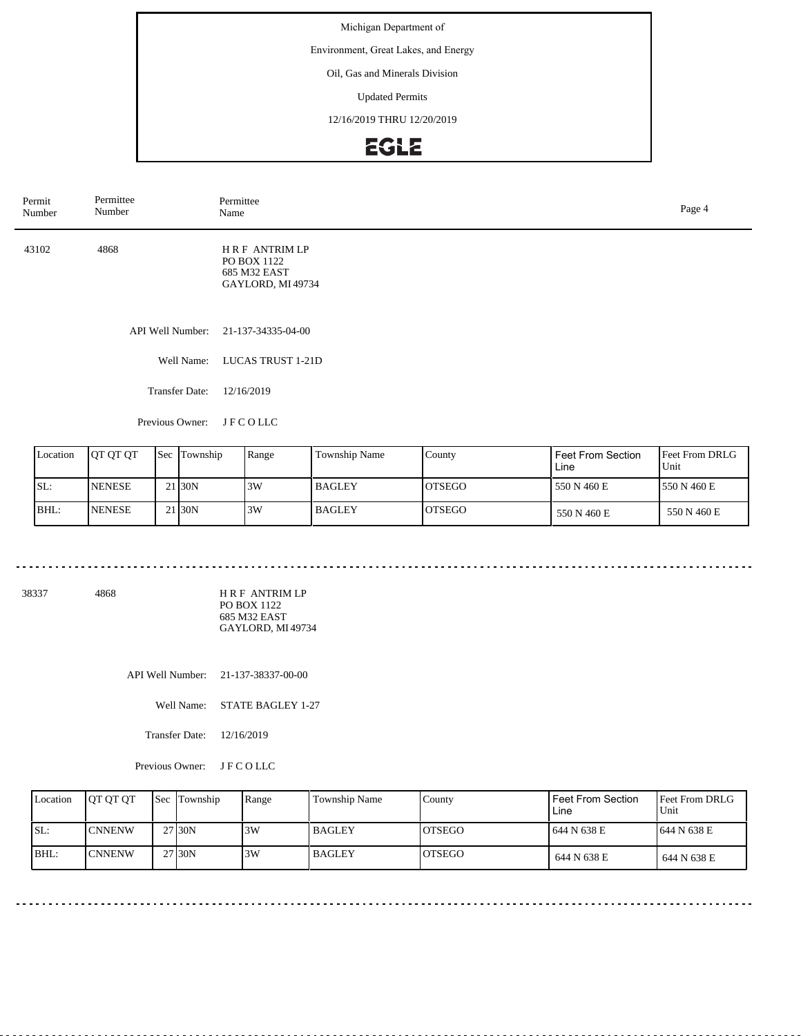Environment, Great Lakes, and Energy

### Oil, Gas and Minerals Division

Updated Permits

12/16/2019 THRU 12/20/2019

# EGLE

| Permit<br>Number | Permittee<br>Number   | Permittee<br>Page 4<br>Name                                             |  |  |  |
|------------------|-----------------------|-------------------------------------------------------------------------|--|--|--|
| 43102            | 4868                  | <b>HRF ANTRIMLP</b><br>PO BOX 1122<br>685 M32 EAST<br>GAYLORD, MI 49734 |  |  |  |
|                  |                       | API Well Number: 21-137-34335-04-00                                     |  |  |  |
|                  | Well Name:            | <b>LUCAS TRUST 1-21D</b>                                                |  |  |  |
|                  | <b>Transfer Date:</b> | 12/16/2019                                                              |  |  |  |
|                  |                       |                                                                         |  |  |  |

Previous Owner: J F C O LLC

| Location | <b>OT OT OT</b> | <b>Sec</b> Township | Range | Township Name | County         | Feet From Section<br>Line | <b>IFeet From DRLG</b><br>Unit |
|----------|-----------------|---------------------|-------|---------------|----------------|---------------------------|--------------------------------|
| ISL:     | <b>INENESE</b>  | 21 <sub>30</sub> N  | 3W    | <b>BAGLEY</b> | <b>IOTSEGO</b> | 550 N 460 E               | 1550 N 460 E                   |
| BHL:     | <b>INENESE</b>  | 21 <sub>30</sub> N  | 3W    | <b>BAGLEY</b> | <b>IOTSEGO</b> | 550 N 460 E               | 550 N 460 E                    |

38337 4868

H R F ANTRIM LP PO BOX 1122 685 M32 EAST GAYLORD, MI 49734

API Well Number: 21-137-38337-00-00

Well Name: STATE BAGLEY 1-27

Transfer Date: 12/16/2019

Previous Owner: J F C O LLC

| Location | <b>IOT OT OT</b> | Sec Township        | Range | Township Name | County         | Feet From Section<br>Line | <b>IFeet From DRLG</b><br>Unit |
|----------|------------------|---------------------|-------|---------------|----------------|---------------------------|--------------------------------|
| SL:      | <b>CNNENW</b>    | 27 <sub>130</sub> N | 3W    | l BAGLEY      | IOTSEGO        | 1644 N 638 E              | 1644 N 638 E                   |
| BHL:     | <b>CNNENW</b>    | 27 30N              | 3W    | l BAGLEY      | <b>IOTSEGO</b> | 644 N 638 E               | 644 N 638 E                    |